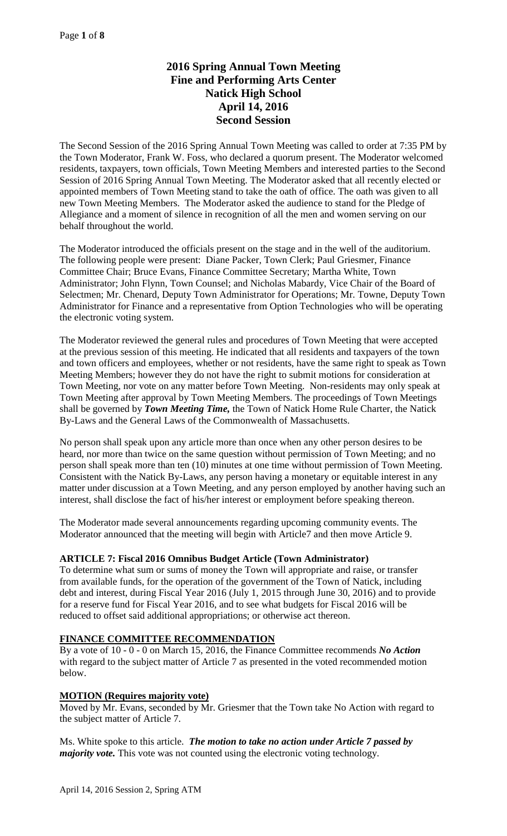# **2016 Spring Annual Town Meeting Fine and Performing Arts Center Natick High School April 14, 2016 Second Session**

The Second Session of the 2016 Spring Annual Town Meeting was called to order at 7:35 PM by the Town Moderator, Frank W. Foss, who declared a quorum present. The Moderator welcomed residents, taxpayers, town officials, Town Meeting Members and interested parties to the Second Session of 2016 Spring Annual Town Meeting. The Moderator asked that all recently elected or appointed members of Town Meeting stand to take the oath of office. The oath was given to all new Town Meeting Members. The Moderator asked the audience to stand for the Pledge of Allegiance and a moment of silence in recognition of all the men and women serving on our behalf throughout the world.

The Moderator introduced the officials present on the stage and in the well of the auditorium. The following people were present: Diane Packer, Town Clerk; Paul Griesmer, Finance Committee Chair; Bruce Evans, Finance Committee Secretary; Martha White, Town Administrator; John Flynn, Town Counsel; and Nicholas Mabardy, Vice Chair of the Board of Selectmen; Mr. Chenard, Deputy Town Administrator for Operations; Mr. Towne, Deputy Town Administrator for Finance and a representative from Option Technologies who will be operating the electronic voting system.

The Moderator reviewed the general rules and procedures of Town Meeting that were accepted at the previous session of this meeting. He indicated that all residents and taxpayers of the town and town officers and employees, whether or not residents, have the same right to speak as Town Meeting Members; however they do not have the right to submit motions for consideration at Town Meeting, nor vote on any matter before Town Meeting. Non-residents may only speak at Town Meeting after approval by Town Meeting Members. The proceedings of Town Meetings shall be governed by *Town Meeting Time,* the Town of Natick Home Rule Charter, the Natick By-Laws and the General Laws of the Commonwealth of Massachusetts.

No person shall speak upon any article more than once when any other person desires to be heard, nor more than twice on the same question without permission of Town Meeting; and no person shall speak more than ten (10) minutes at one time without permission of Town Meeting. Consistent with the Natick By-Laws, any person having a monetary or equitable interest in any matter under discussion at a Town Meeting, and any person employed by another having such an interest, shall disclose the fact of his/her interest or employment before speaking thereon.

The Moderator made several announcements regarding upcoming community events. The Moderator announced that the meeting will begin with Article7 and then move Article 9.

# **ARTICLE 7: Fiscal 2016 Omnibus Budget Article (Town Administrator)**

To determine what sum or sums of money the Town will appropriate and raise, or transfer from available funds, for the operation of the government of the Town of Natick, including debt and interest, during Fiscal Year 2016 (July 1, 2015 through June 30, 2016) and to provide for a reserve fund for Fiscal Year 2016, and to see what budgets for Fiscal 2016 will be reduced to offset said additional appropriations; or otherwise act thereon.

### **FINANCE COMMITTEE RECOMMENDATION**

By a vote of 10 - 0 - 0 on March 15, 2016, the Finance Committee recommends *No Action*  with regard to the subject matter of Article 7 as presented in the voted recommended motion below.

### **MOTION (Requires majority vote)**

Moved by Mr. Evans, seconded by Mr. Griesmer that the Town take No Action with regard to the subject matter of Article 7.

Ms. White spoke to this article. *The motion to take no action under Article 7 passed by majority vote*. This vote was not counted using the electronic voting technology.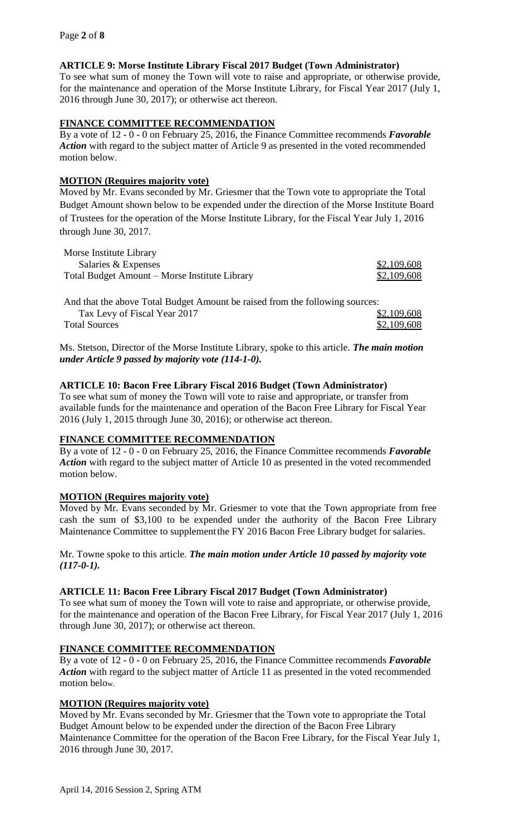# **ARTICLE 9: Morse Institute Library Fiscal 2017 Budget (Town Administrator)**

To see what sum of money the Town will vote to raise and appropriate, or otherwise provide, for the maintenance and operation of the Morse Institute Library, for Fiscal Year 2017 (July 1, 2016 through June 30, 2017); or otherwise act thereon.

### **FINANCE COMMITTEE RECOMMENDATION**

By a vote of 12 - 0 - 0 on February 25, 2016, the Finance Committee recommends *Favorable*  Action with regard to the subject matter of Article 9 as presented in the voted recommended motion below.

### **MOTION (Requires majority vote)**

Moved by Mr. Evans seconded by Mr. Griesmer that the Town vote to appropriate the Total Budget Amount shown below to be expended under the direction of the Morse Institute Board of Trustees for the operation of the Morse Institute Library, for the Fiscal Year July 1, 2016 through June 30, 2017.

| Morse Institute Library                       |             |
|-----------------------------------------------|-------------|
| Salaries & Expenses                           | \$2,109,608 |
| Total Budget Amount – Morse Institute Library | \$2,109,608 |

And that the above Total Budget Amount be raised from the following sources: Tax Levy of Fiscal Year 2017  $\frac{$2,109,608}{2}$ Total Sources \$2,109,608

Ms. Stetson, Director of the Morse Institute Library, spoke to this article. *The main motion under Article 9 passed by majority vote (114-1-0).*

### **ARTICLE 10: Bacon Free Library Fiscal 2016 Budget (Town Administrator)**

To see what sum of money the Town will vote to raise and appropriate, or transfer from available funds for the maintenance and operation of the Bacon Free Library for Fiscal Year 2016 (July 1, 2015 through June 30, 2016); or otherwise act thereon.

### **FINANCE COMMITTEE RECOMMENDATION**

By a vote of 12 - 0 - 0 on February 25, 2016, the Finance Committee recommends *Favorable Action* with regard to the subject matter of Article 10 as presented in the voted recommended motion below.

# **MOTION (Requires majority vote)**

Moved by Mr. Evans seconded by Mr. Griesmer to vote that the Town appropriate from free cash the sum of \$3,100 to be expended under the authority of the Bacon Free Library Maintenance Committee to supplementthe FY 2016 Bacon Free Library budget for salaries.

Mr. Towne spoke to this article. *The main motion under Article 10 passed by majority vote (117-0-1).*

### **ARTICLE 11: Bacon Free Library Fiscal 2017 Budget (Town Administrator)**

To see what sum of money the Town will vote to raise and appropriate, or otherwise provide, for the maintenance and operation of the Bacon Free Library, for Fiscal Year 2017 (July 1, 2016 through June 30, 2017); or otherwise act thereon.

### **FINANCE COMMITTEE RECOMMENDATION**

By a vote of 12 - 0 - 0 on February 25, 2016, the Finance Committee recommends *Favorable Action* with regard to the subject matter of Article 11 as presented in the voted recommended motion below.

# **MOTION (Requires majority vote)**

Moved by Mr. Evans seconded by Mr. Griesmer that the Town vote to appropriate the Total Budget Amount below to be expended under the direction of the Bacon Free Library Maintenance Committee for the operation of the Bacon Free Library, for the Fiscal Year July 1, 2016 through June 30, 2017.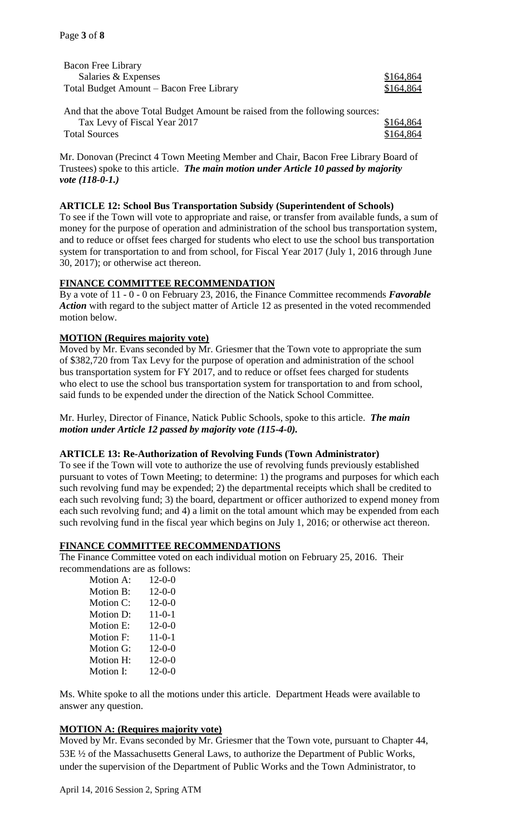| Bacon Free Library                       |           |
|------------------------------------------|-----------|
| Salaries & Expenses                      | \$164,864 |
| Total Budget Amount – Bacon Free Library | \$164,864 |
|                                          |           |

And that the above Total Budget Amount be raised from the following sources: Tax Levy of Fiscal Year 2017 **\$164,864** Total Sources  $$164.864$ 

Mr. Donovan (Precinct 4 Town Meeting Member and Chair, Bacon Free Library Board of Trustees) spoke to this article. *The main motion under Article 10 passed by majority vote (118-0-1.)*

### **ARTICLE 12: School Bus Transportation Subsidy (Superintendent of Schools)**

To see if the Town will vote to appropriate and raise, or transfer from available funds, a sum of money for the purpose of operation and administration of the school bus transportation system, and to reduce or offset fees charged for students who elect to use the school bus transportation system for transportation to and from school, for Fiscal Year 2017 (July 1, 2016 through June 30, 2017); or otherwise act thereon.

# **FINANCE COMMITTEE RECOMMENDATION**

By a vote of 11 - 0 - 0 on February 23, 2016, the Finance Committee recommends *Favorable Action* with regard to the subject matter of Article 12 as presented in the voted recommended motion below.

# **MOTION (Requires majority vote)**

Moved by Mr. Evans seconded by Mr. Griesmer that the Town vote to appropriate the sum of \$382,720 from Tax Levy for the purpose of operation and administration of the school bus transportation system for FY 2017, and to reduce or offset fees charged for students who elect to use the school bus transportation system for transportation to and from school, said funds to be expended under the direction of the Natick School Committee.

Mr. Hurley, Director of Finance, Natick Public Schools, spoke to this article. *The main motion under Article 12 passed by majority vote (115-4-0).*

# **ARTICLE 13: Re-Authorization of Revolving Funds (Town Administrator)**

To see if the Town will vote to authorize the use of revolving funds previously established pursuant to votes of Town Meeting; to determine: 1) the programs and purposes for which each such revolving fund may be expended; 2) the departmental receipts which shall be credited to each such revolving fund; 3) the board, department or officer authorized to expend money from each such revolving fund; and 4) a limit on the total amount which may be expended from each such revolving fund in the fiscal year which begins on July 1, 2016; or otherwise act thereon.

### **FINANCE COMMITTEE RECOMMENDATIONS**

The Finance Committee voted on each individual motion on February 25, 2016. Their recommendations are as follows:

| Motion A: | $12 - 0 - 0$ |
|-----------|--------------|
| Motion B: | $12 - 0 - 0$ |
| Motion C: | $12 - 0 - 0$ |
| Motion D: | $11 - 0 - 1$ |
| Motion E: | $12 - 0 - 0$ |
| Motion F: | $11 - 0 - 1$ |
| Motion G: | $12 - 0 - 0$ |
| Motion H: | $12 - 0 - 0$ |
| Motion I: | $12 - 0 - 0$ |

Ms. White spoke to all the motions under this article. Department Heads were available to answer any question.

# **MOTION A: (Requires majority vote)**

Moved by Mr. Evans seconded by Mr. Griesmer that the Town vote, pursuant to Chapter 44, 53E ½ of the Massachusetts General Laws, to authorize the Department of Public Works, under the supervision of the Department of Public Works and the Town Administrator, to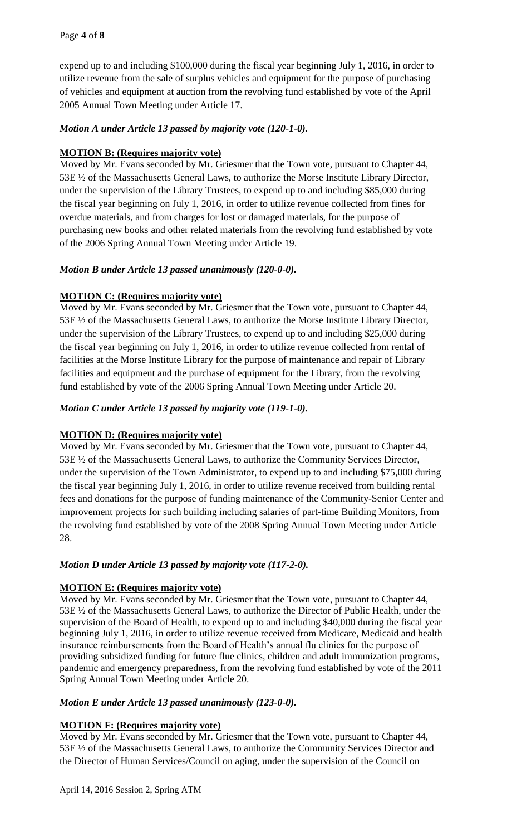expend up to and including \$100,000 during the fiscal year beginning July 1, 2016, in order to utilize revenue from the sale of surplus vehicles and equipment for the purpose of purchasing of vehicles and equipment at auction from the revolving fund established by vote of the April 2005 Annual Town Meeting under Article 17.

# *Motion A under Article 13 passed by majority vote (120-1-0).*

# **MOTION B: (Requires majority vote)**

Moved by Mr. Evans seconded by Mr. Griesmer that the Town vote, pursuant to Chapter 44, 53E ½ of the Massachusetts General Laws, to authorize the Morse Institute Library Director, under the supervision of the Library Trustees, to expend up to and including \$85,000 during the fiscal year beginning on July 1, 2016, in order to utilize revenue collected from fines for overdue materials, and from charges for lost or damaged materials, for the purpose of purchasing new books and other related materials from the revolving fund established by vote of the 2006 Spring Annual Town Meeting under Article 19.

# *Motion B under Article 13 passed unanimously (120-0-0).*

# **MOTION C: (Requires majority vote)**

Moved by Mr. Evans seconded by Mr. Griesmer that the Town vote, pursuant to Chapter 44, 53E ½ of the Massachusetts General Laws, to authorize the Morse Institute Library Director, under the supervision of the Library Trustees, to expend up to and including \$25,000 during the fiscal year beginning on July 1, 2016, in order to utilize revenue collected from rental of facilities at the Morse Institute Library for the purpose of maintenance and repair of Library facilities and equipment and the purchase of equipment for the Library, from the revolving fund established by vote of the 2006 Spring Annual Town Meeting under Article 20.

# *Motion C under Article 13 passed by majority vote (119-1-0).*

# **MOTION D: (Requires majority vote)**

Moved by Mr. Evans seconded by Mr. Griesmer that the Town vote, pursuant to Chapter 44, 53E ½ of the Massachusetts General Laws, to authorize the Community Services Director, under the supervision of the Town Administrator, to expend up to and including \$75,000 during the fiscal year beginning July 1, 2016, in order to utilize revenue received from building rental fees and donations for the purpose of funding maintenance of the Community-Senior Center and improvement projects for such building including salaries of part-time Building Monitors, from the revolving fund established by vote of the 2008 Spring Annual Town Meeting under Article 28.

# *Motion D under Article 13 passed by majority vote (117-2-0).*

# **MOTION E: (Requires majority vote)**

Moved by Mr. Evans seconded by Mr. Griesmer that the Town vote, pursuant to Chapter 44, 53E ½ of the Massachusetts General Laws, to authorize the Director of Public Health, under the supervision of the Board of Health, to expend up to and including \$40,000 during the fiscal year beginning July 1, 2016, in order to utilize revenue received from Medicare, Medicaid and health insurance reimbursements from the Board of Health's annual flu clinics for the purpose of providing subsidized funding for future flue clinics, children and adult immunization programs, pandemic and emergency preparedness, from the revolving fund established by vote of the 2011 Spring Annual Town Meeting under Article 20.

# *Motion E under Article 13 passed unanimously (123-0-0).*

# **MOTION F: (Requires majority vote)**

Moved by Mr. Evans seconded by Mr. Griesmer that the Town vote, pursuant to Chapter 44, 53E ½ of the Massachusetts General Laws, to authorize the Community Services Director and the Director of Human Services/Council on aging, under the supervision of the Council on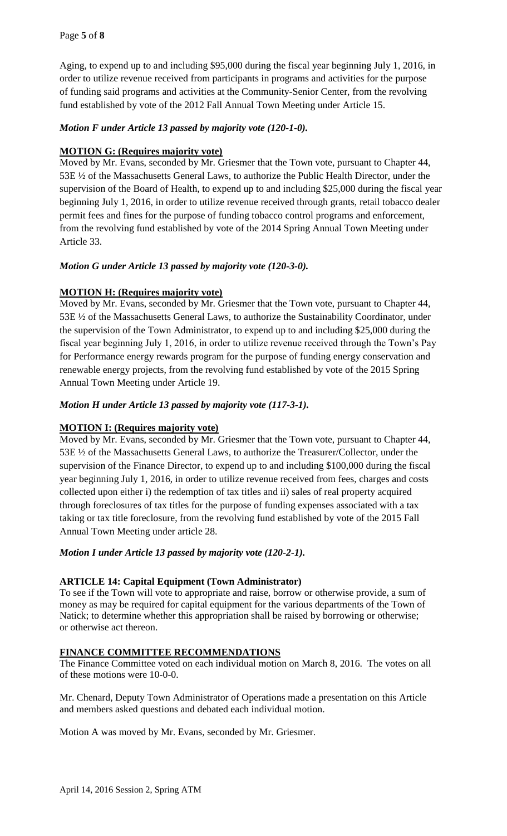Aging, to expend up to and including \$95,000 during the fiscal year beginning July 1, 2016, in order to utilize revenue received from participants in programs and activities for the purpose of funding said programs and activities at the Community-Senior Center, from the revolving fund established by vote of the 2012 Fall Annual Town Meeting under Article 15.

# *Motion F under Article 13 passed by majority vote (120-1-0).*

# **MOTION G: (Requires majority vote)**

Moved by Mr. Evans, seconded by Mr. Griesmer that the Town vote, pursuant to Chapter 44, 53E ½ of the Massachusetts General Laws, to authorize the Public Health Director, under the supervision of the Board of Health, to expend up to and including \$25,000 during the fiscal year beginning July 1, 2016, in order to utilize revenue received through grants, retail tobacco dealer permit fees and fines for the purpose of funding tobacco control programs and enforcement, from the revolving fund established by vote of the 2014 Spring Annual Town Meeting under Article 33.

# *Motion G under Article 13 passed by majority vote (120-3-0).*

# **MOTION H: (Requires majority vote)**

Moved by Mr. Evans, seconded by Mr. Griesmer that the Town vote, pursuant to Chapter 44, 53E ½ of the Massachusetts General Laws, to authorize the Sustainability Coordinator, under the supervision of the Town Administrator, to expend up to and including \$25,000 during the fiscal year beginning July 1, 2016, in order to utilize revenue received through the Town's Pay for Performance energy rewards program for the purpose of funding energy conservation and renewable energy projects, from the revolving fund established by vote of the 2015 Spring Annual Town Meeting under Article 19.

# *Motion H under Article 13 passed by majority vote (117-3-1).*

# **MOTION I: (Requires majority vote)**

Moved by Mr. Evans, seconded by Mr. Griesmer that the Town vote, pursuant to Chapter 44, 53E ½ of the Massachusetts General Laws, to authorize the Treasurer/Collector, under the supervision of the Finance Director, to expend up to and including \$100,000 during the fiscal year beginning July 1, 2016, in order to utilize revenue received from fees, charges and costs collected upon either i) the redemption of tax titles and ii) sales of real property acquired through foreclosures of tax titles for the purpose of funding expenses associated with a tax taking or tax title foreclosure, from the revolving fund established by vote of the 2015 Fall Annual Town Meeting under article 28.

# *Motion I under Article 13 passed by majority vote (120-2-1).*

# **ARTICLE 14: Capital Equipment (Town Administrator)**

To see if the Town will vote to appropriate and raise, borrow or otherwise provide, a sum of money as may be required for capital equipment for the various departments of the Town of Natick; to determine whether this appropriation shall be raised by borrowing or otherwise; or otherwise act thereon.

# **FINANCE COMMITTEE RECOMMENDATIONS**

The Finance Committee voted on each individual motion on March 8, 2016. The votes on all of these motions were 10-0-0.

Mr. Chenard, Deputy Town Administrator of Operations made a presentation on this Article and members asked questions and debated each individual motion.

Motion A was moved by Mr. Evans, seconded by Mr. Griesmer.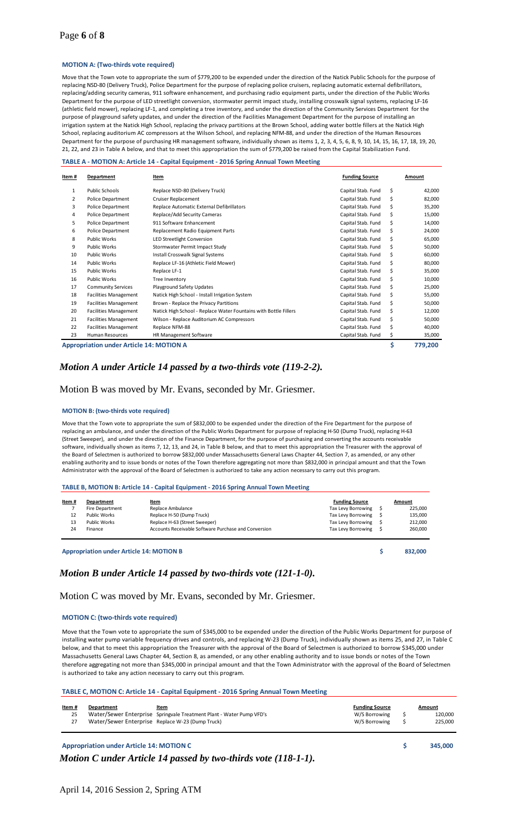### Page **6** of **8**

#### **MOTION A: (Two-thirds vote required)**

Move that the Town vote to appropriate the sum of \$779,200 to be expended under the direction of the Natick Public Schools for the purpose of replacing NSD-80 (Delivery Truck), Police Department for the purpose of replacing police cruisers, replacing automatic external defibrillators, replacing/adding security cameras, 911 software enhancement, and purchasing radio equipment parts, under the direction of the Public Works Department for the purpose of LED streetlight conversion, stormwater permit impact study, installing crosswalk signal systems, replacing LF-16 (athletic field mower), replacing LF-1, and completing a tree inventory, and under the direction of the Community Services Department for the purpose of playground safety updates, and under the direction of the Facilities Management Department for the purpose of installing an irrigation system at the Natick High School, replacing the privacy partitions at the Brown School, adding water bottle fillers at the Natick High School, replacing auditorium AC compressors at the Wilson School, and replacing NFM-88, and under the direction of the Human Resources Department for the purpose of purchasing HR management software, individually shown as items 1, 2, 3, 4, 5, 6, 8, 9, 10, 14, 15, 16, 17, 18, 19, 20, 21, 22, and 23 in Table A below, and that to meet this appropriation the sum of \$779,200 be raised from the Capital Stabilization Fund.

#### **TABLE A - MOTION A: Article 14 - Capital Equipment - 2016 Spring Annual Town Meeting**

| Item#                                           | Item<br>Department           |                                                                  | <b>Funding Source</b> |    | Amount  |
|-------------------------------------------------|------------------------------|------------------------------------------------------------------|-----------------------|----|---------|
| $\mathbf{1}$                                    | Public Schools               | Replace NSD-80 (Delivery Truck)                                  | Capital Stab. Fund    | \$ | 42,000  |
| $\overline{2}$                                  | <b>Police Department</b>     | Cruiser Replacement                                              | Capital Stab. Fund    | \$ | 82,000  |
| 3                                               | Police Department            | Replace Automatic External Defibrillators                        | Capital Stab. Fund    | Ś  | 35,200  |
| 4                                               | Police Department            | Replace/Add Security Cameras                                     | Capital Stab. Fund    | Ś  | 15,000  |
| 5                                               | Police Department            | 911 Software Enhancement                                         | Capital Stab. Fund    | Ś. | 14,000  |
| 6                                               | Police Department            | Replacement Radio Equipment Parts                                | Capital Stab. Fund    | Ś. | 24,000  |
| 8                                               | <b>Public Works</b>          | LED Streetlight Conversion                                       | Capital Stab. Fund    | \$ | 65,000  |
| 9                                               | <b>Public Works</b>          | Stormwater Permit Impact Study                                   | Capital Stab. Fund    | \$ | 50,000  |
| 10                                              | <b>Public Works</b>          | Install Crosswalk Signal Systems                                 | Capital Stab. Fund    | \$ | 60,000  |
| 14                                              | <b>Public Works</b>          | Replace LF-16 (Athletic Field Mower)                             | Capital Stab. Fund    | Ś  | 80,000  |
| 15                                              | <b>Public Works</b>          | Replace LF-1                                                     | Capital Stab. Fund    | \$ | 35,000  |
| 16                                              | <b>Public Works</b>          | Tree Inventory                                                   | Capital Stab. Fund    | Ś. | 10,000  |
| 17                                              | <b>Community Services</b>    | Playground Safety Updates                                        | Capital Stab. Fund    | Ś. | 25,000  |
| 18                                              | <b>Facilities Management</b> | Natick High School - Install Irrigation System                   | Capital Stab. Fund    | Ś. | 55,000  |
| 19                                              | <b>Facilities Management</b> | Brown - Replace the Privacy Partitions                           | Capital Stab. Fund    | Ś. | 50,000  |
| 20                                              | <b>Facilities Management</b> | Natick High School - Replace Water Fountains with Bottle Fillers | Capital Stab. Fund    | \$ | 12,000  |
| 21                                              | <b>Facilities Management</b> | Wilson - Replace Auditorium AC Compressors                       | Capital Stab. Fund    | \$ | 50,000  |
| 22                                              | <b>Facilities Management</b> | Replace NFM-88                                                   | Capital Stab. Fund    | Ś  | 40,000  |
| 23                                              | Human Resources              | HR Management Software                                           | Capital Stab. Fund    | \$ | 35,000  |
| <b>Appropriation under Article 14: MOTION A</b> |                              |                                                                  |                       | \$ | 779,200 |

#### *Motion A under Article 14 passed by a two-thirds vote (119-2-2).*

#### Motion B was moved by Mr. Evans, seconded by Mr. Griesmer.

#### **MOTION B: (two-thirds vote required)**

Move that the Town vote to appropriate the sum of \$832,000 to be expended under the direction of the Fire Department for the purpose of replacing an ambulance, and under the direction of the Public Works Department for purpose of replacing H-50 (Dump Truck), replacing H-63 (Street Sweeper), and under the direction of the Finance Department, for the purpose of purchasing and converting the accounts receivable software, individually shown as items 7, 12, 13, and 24, in Table B below, and that to meet this appropriation the Treasurer with the approval of the Board of Selectmen is authorized to borrow \$832,000 under Massachusetts General Laws Chapter 44, Section 7, as amended, or any other enabling authority and to issue bonds or notes of the Town therefore aggregating not more than \$832,000 in principal amount and that the Town Administrator with the approval of the Board of Selectmen is authorized to take any action necessary to carry out this program.

#### **TABLE B, MOTION B: Article 14 - Capital Equipment - 2016 Spring Annual Town Meeting**

| Item# | Department      | Item                                                 | <b>Funding Source</b> | Amount  |
|-------|-----------------|------------------------------------------------------|-----------------------|---------|
|       | Fire Department | Replace Ambulance                                    | Tax Levy Borrowing \$ | 225.000 |
| 12    | Public Works    | Replace H-50 (Dump Truck)                            | Tax Levy Borrowing \$ | 135.000 |
| 13    | Public Works    | Replace H-63 (Street Sweeper)                        | Tax Levy Borrowing    | 212.000 |
| 24    | Finance         | Accounts Receivable Software Purchase and Conversion | Tax Levy Borrowing    | 260.000 |

**Appropriation under Article 14: MOTION B \$ 832,000**

#### *Motion B under Article 14 passed by two-thirds vote (121-1-0).*

Motion C was moved by Mr. Evans, seconded by Mr. Griesmer.

#### **MOTION C: (two-thirds vote required)**

Move that the Town vote to appropriate the sum of \$345,000 to be expended under the direction of the Public Works Department for purpose of installing water pump variable frequency drives and controls, and replacing W-23 (Dump Truck), individually shown as items 25, and 27, in Table C below, and that to meet this appropriation the Treasurer with the approval of the Board of Selectmen is authorized to borrow \$345,000 under Massachusetts General Laws Chapter 44, Section 8, as amended, or any other enabling authority and to issue bonds or notes of the Town therefore aggregating not more than \$345,000 in principal amount and that the Town Administrator with the approval of the Board of Selectmen is authorized to take any action necessary to carry out this program.

#### **TABLE C, MOTION C: Article 14 - Capital Equipment - 2016 Spring Annual Town Meeting**

| Item# | Department                                       | Item                                                                 | <b>Funding Source</b> | Amount  |
|-------|--------------------------------------------------|----------------------------------------------------------------------|-----------------------|---------|
| 25    |                                                  | Water/Sewer Enterprise Springvale Treatment Plant - Water Pump VFD's | W/S Borrowing         | 120.000 |
| 27    | Water/Sewer Enterprise Replace W-23 (Dump Truck) |                                                                      | W/S Borrowing         | 225.000 |
|       |                                                  |                                                                      |                       |         |

**Appropriation under Article 14: MOTION C \$ 345,000**

*Motion C under Article 14 passed by two-thirds vote (118-1-1).*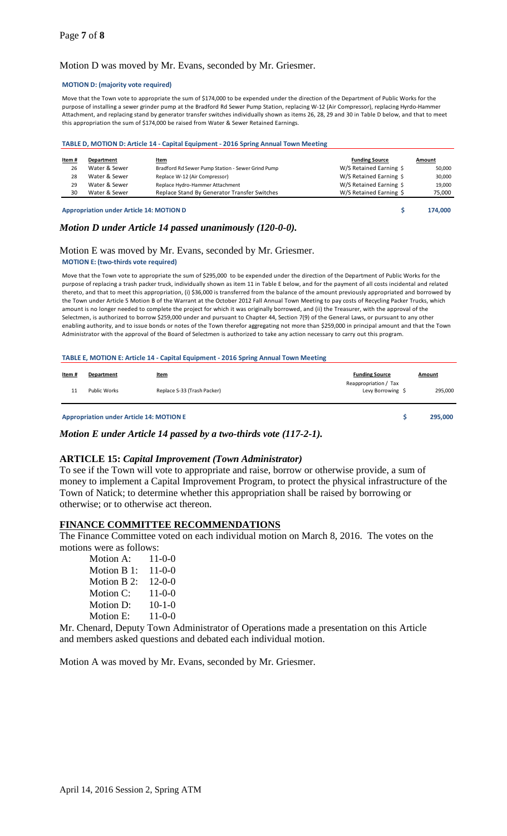#### Motion D was moved by Mr. Evans, seconded by Mr. Griesmer.

#### **MOTION D: (majority vote required)**

Move that the Town vote to appropriate the sum of \$174,000 to be expended under the direction of the Department of Public Works for the purpose of installing a sewer grinder pump at the Bradford Rd Sewer Pump Station, replacing W-12 (Air Compressor), replacing Hyrdo-Hammer Attachment, and replacing stand by generator transfer switches individually shown as items 26, 28, 29 and 30 in Table D below, and that to meet this appropriation the sum of \$174,000 be raised from Water & Sewer Retained Earnings.

#### **TABLE D, MOTION D: Article 14 - Capital Equipment - 2016 Spring Annual Town Meeting**

| Item# | Department    | <u>Item</u>                                       | <b>Funding Source</b>   | Amount |
|-------|---------------|---------------------------------------------------|-------------------------|--------|
| 26    | Water & Sewer | Bradford Rd Sewer Pump Station - Sewer Grind Pump | W/S Retained Earning \$ | 50,000 |
| 28    | Water & Sewer | Replace W-12 (Air Compressor)                     | W/S Retained Earning \$ | 30.000 |
| 29    | Water & Sewer | Replace Hydro-Hammer Attachment                   | W/S Retained Earning \$ | 19.000 |
| 30    | Water & Sewer | Replace Stand By Generator Transfer Switches      | W/S Retained Earning \$ | 75,000 |
|       |               |                                                   |                         |        |

**Appropriation under Article 14: MOTION D \$ 174,000**

#### *Motion D under Article 14 passed unanimously (120-0-0).*

#### Motion E was moved by Mr. Evans, seconded by Mr. Griesmer. **MOTION E: (two-thirds vote required)**

Move that the Town vote to appropriate the sum of \$295,000 to be expended under the direction of the Department of Public Works for the purpose of replacing a trash packer truck, individually shown as item 11 in Table E below, and for the payment of all costs incidental and related thereto, and that to meet this appropriation, (i) \$36,000 is transferred from the balance of the amount previously appropriated and borrowed by the Town under Article 5 Motion B of the Warrant at the October 2012 Fall Annual Town Meeting to pay costs of Recycling Packer Trucks, which amount is no longer needed to complete the project for which it was originally borrowed, and (ii) the Treasurer, with the approval of the Selectmen, is authorized to borrow \$259,000 under and pursuant to Chapter 44, Section 7(9) of the General Laws, or pursuant to any other enabling authority, and to issue bonds or notes of the Town therefor aggregating not more than \$259,000 in principal amount and that the Town Administrator with the approval of the Board of Selectmen is authorized to take any action necessary to carry out this program.

#### **TABLE E, MOTION E: Article 14 - Capital Equipment - 2016 Spring Annual Town Meeting**

| <u>Item</u> # | Department   | <b>Item</b>                 | <b>Funding Source</b>                      | <b>Amount</b> |
|---------------|--------------|-----------------------------|--------------------------------------------|---------------|
| 11            | Public Works | Replace S-33 (Trash Packer) | Reappropriation / Tax<br>Levy Borrowing \$ | 295,000       |

**Appropriation under Article 14: MOTION E \$ 295,000**

*Motion E under Article 14 passed by a two-thirds vote (117-2-1).*

#### **ARTICLE 15:** *Capital Improvement (Town Administrator)*

To see if the Town will vote to appropriate and raise, borrow or otherwise provide, a sum of money to implement a Capital Improvement Program, to protect the physical infrastructure of the Town of Natick; to determine whether this appropriation shall be raised by borrowing or otherwise; or to otherwise act thereon.

#### **FINANCE COMMITTEE RECOMMENDATIONS**

The Finance Committee voted on each individual motion on March 8, 2016. The votes on the motions were as follows:

| Motion A:   | $11 - 0 - 0$ |
|-------------|--------------|
| Motion B 1: | $11 - 0 - 0$ |
| Motion B 2: | $12-0-0$     |
| Motion C:   | $11 - 0 - 0$ |
| Motion D:   | $10-1-0$     |
| Motion E:   | $11-0-0$     |

Mr. Chenard, Deputy Town Administrator of Operations made a presentation on this Article and members asked questions and debated each individual motion.

Motion A was moved by Mr. Evans, seconded by Mr. Griesmer.